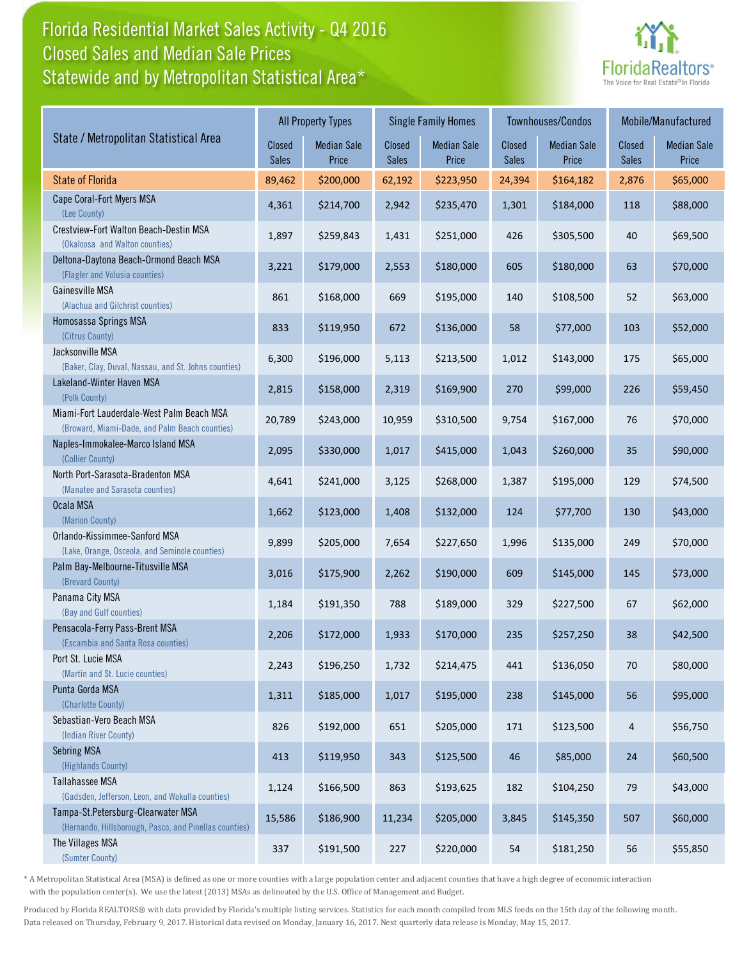## Florida Residential Market Sales Activity - Q4 2016 Statewide and by Metropolitan Statistical Area\* Closed Sales and Median Sale Prices



|                                                                                              | <b>All Property Types</b> |                             | <b>Single Family Homes</b> |                             | Townhouses/Condos |                             | Mobile/Manufactured    |                             |
|----------------------------------------------------------------------------------------------|---------------------------|-----------------------------|----------------------------|-----------------------------|-------------------|-----------------------------|------------------------|-----------------------------|
| State / Metropolitan Statistical Area                                                        | Closed<br><b>Sales</b>    | <b>Median Sale</b><br>Price | Closed<br><b>Sales</b>     | <b>Median Sale</b><br>Price | Closed<br>Sales   | <b>Median Sale</b><br>Price | Closed<br><b>Sales</b> | <b>Median Sale</b><br>Price |
| <b>State of Florida</b>                                                                      | 89,462                    | \$200,000                   | 62,192                     | \$223,950                   | 24,394            | \$164,182                   | 2,876                  | \$65,000                    |
| Cape Coral-Fort Myers MSA<br>(Lee County)                                                    | 4,361                     | \$214,700                   | 2,942                      | \$235,470                   | 1,301             | \$184,000                   | 118                    | \$88,000                    |
| Crestview-Fort Walton Beach-Destin MSA<br>(Okaloosa and Walton counties)                     | 1,897                     | \$259,843                   | 1,431                      | \$251,000                   | 426               | \$305,500                   | 40                     | \$69,500                    |
| Deltona-Daytona Beach-Ormond Beach MSA<br>(Flagler and Volusia counties)                     | 3,221                     | \$179,000                   | 2,553                      | \$180,000                   | 605               | \$180,000                   | 63                     | \$70,000                    |
| Gainesville MSA<br>(Alachua and Gilchrist counties)                                          | 861                       | \$168,000                   | 669                        | \$195,000                   | 140               | \$108,500                   | 52                     | \$63,000                    |
| Homosassa Springs MSA<br>(Citrus County)                                                     | 833                       | \$119,950                   | 672                        | \$136,000                   | 58                | \$77,000                    | 103                    | \$52,000                    |
| Jacksonville MSA<br>(Baker, Clay, Duval, Nassau, and St. Johns counties)                     | 6,300                     | \$196,000                   | 5,113                      | \$213,500                   | 1,012             | \$143,000                   | 175                    | \$65,000                    |
| Lakeland-Winter Haven MSA<br>(Polk County)                                                   | 2,815                     | \$158,000                   | 2,319                      | \$169,900                   | 270               | \$99,000                    | 226                    | \$59,450                    |
| Miami-Fort Lauderdale-West Palm Beach MSA<br>(Broward, Miami-Dade, and Palm Beach counties)  | 20,789                    | \$243,000                   | 10,959                     | \$310,500                   | 9,754             | \$167,000                   | 76                     | \$70,000                    |
| Naples-Immokalee-Marco Island MSA<br>(Collier County)                                        | 2,095                     | \$330,000                   | 1,017                      | \$415,000                   | 1,043             | \$260,000                   | 35                     | \$90,000                    |
| North Port-Sarasota-Bradenton MSA<br>(Manatee and Sarasota counties)                         | 4,641                     | \$241,000                   | 3,125                      | \$268,000                   | 1,387             | \$195,000                   | 129                    | \$74,500                    |
| Ocala MSA<br>(Marion County)                                                                 | 1,662                     | \$123,000                   | 1,408                      | \$132,000                   | 124               | \$77,700                    | 130                    | \$43,000                    |
| Orlando-Kissimmee-Sanford MSA<br>(Lake, Orange, Osceola, and Seminole counties)              | 9,899                     | \$205,000                   | 7,654                      | \$227,650                   | 1,996             | \$135,000                   | 249                    | \$70,000                    |
| Palm Bay-Melbourne-Titusville MSA<br>(Brevard County)                                        | 3,016                     | \$175,900                   | 2,262                      | \$190,000                   | 609               | \$145,000                   | 145                    | \$73,000                    |
| Panama City MSA<br>(Bay and Gulf counties)                                                   | 1,184                     | \$191,350                   | 788                        | \$189,000                   | 329               | \$227,500                   | 67                     | \$62,000                    |
| Pensacola-Ferry Pass-Brent MSA<br>(Escambia and Santa Rosa counties)                         | 2,206                     | \$172,000                   | 1,933                      | \$170,000                   | 235               | \$257,250                   | 38                     | \$42,500                    |
| Port St. Lucie MSA<br>(Martin and St. Lucie counties)                                        | 2,243                     | \$196,250                   | 1,732                      | \$214,475                   | 441               | \$136,050                   | 70                     | \$80,000                    |
| Punta Gorda MSA<br>(Charlotte County)                                                        | 1,311                     | \$185,000                   | 1,017                      | \$195,000                   | 238               | \$145,000                   | 56                     | \$95,000                    |
| Sebastian-Vero Beach MSA<br>(Indian River County)                                            | 826                       | \$192,000                   | 651                        | \$205,000                   | 171               | \$123,500                   | 4                      | \$56,750                    |
| <b>Sebring MSA</b><br>(Highlands County)                                                     | 413                       | \$119,950                   | 343                        | \$125,500                   | 46                | \$85,000                    | 24                     | \$60,500                    |
| Tallahassee MSA<br>(Gadsden, Jefferson, Leon, and Wakulla counties)                          | 1,124                     | \$166,500                   | 863                        | \$193,625                   | 182               | \$104,250                   | 79                     | \$43,000                    |
| Tampa-St.Petersburg-Clearwater MSA<br>(Hernando, Hillsborough, Pasco, and Pinellas counties) | 15,586                    | \$186,900                   | 11,234                     | \$205,000                   | 3,845             | \$145,350                   | 507                    | \$60,000                    |
| The Villages MSA<br>(Sumter County)                                                          | 337                       | \$191,500                   | 227                        | \$220,000                   | 54                | \$181,250                   | 56                     | \$55,850                    |

\* A Metropolitan Statistical Area (MSA) is defined as one or more counties with a large population center and adjacent counties that have a high degree of economic interaction with the population center(s). We use the latest (2013) MSAs as delineated by the U.S. Office of Management and Budget.

Produced by Florida REALTORS® with data provided by Florida's multiple listing services. Statistics for each month compiled from MLS feeds on the 15th day of the following month. Data released on Thursday, February 9, 2017. Historical data revised on Monday, January 16, 2017. Next quarterly data release is Monday, May 15, 2017.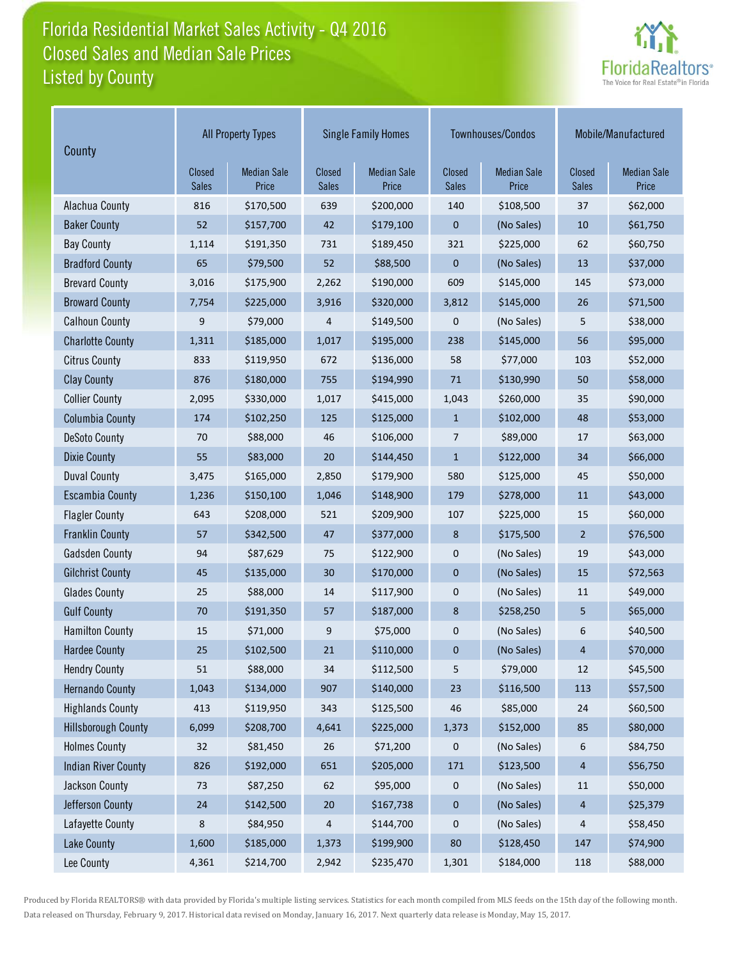## Florida Residential Market Sales Activity - Q4 2016 Listed by County Closed Sales and Median Sale Prices



| County                     | <b>All Property Types</b> |                             | <b>Single Family Homes</b> |                             |                        | Townhouses/Condos           | Mobile/Manufactured    |                             |
|----------------------------|---------------------------|-----------------------------|----------------------------|-----------------------------|------------------------|-----------------------------|------------------------|-----------------------------|
|                            | Closed<br><b>Sales</b>    | <b>Median Sale</b><br>Price | Closed<br>Sales            | <b>Median Sale</b><br>Price | Closed<br><b>Sales</b> | <b>Median Sale</b><br>Price | Closed<br><b>Sales</b> | <b>Median Sale</b><br>Price |
| Alachua County             | 816                       | \$170,500                   | 639                        | \$200,000                   | 140                    | \$108,500                   | 37                     | \$62,000                    |
| <b>Baker County</b>        | 52                        | \$157,700                   | 42                         | \$179,100                   | $\pmb{0}$              | (No Sales)                  | 10                     | \$61,750                    |
| <b>Bay County</b>          | 1,114                     | \$191,350                   | 731                        | \$189,450                   | 321                    | \$225,000                   | 62                     | \$60,750                    |
| <b>Bradford County</b>     | 65                        | \$79,500                    | 52                         | \$88,500                    | $\mathbf 0$            | (No Sales)                  | 13                     | \$37,000                    |
| <b>Brevard County</b>      | 3,016                     | \$175,900                   | 2,262                      | \$190,000                   | 609                    | \$145,000                   | 145                    | \$73,000                    |
| <b>Broward County</b>      | 7,754                     | \$225,000                   | 3,916                      | \$320,000                   | 3,812                  | \$145,000                   | 26                     | \$71,500                    |
| <b>Calhoun County</b>      | 9                         | \$79,000                    | 4                          | \$149,500                   | 0                      | (No Sales)                  | 5                      | \$38,000                    |
| <b>Charlotte County</b>    | 1,311                     | \$185,000                   | 1,017                      | \$195,000                   | 238                    | \$145,000                   | 56                     | \$95,000                    |
| <b>Citrus County</b>       | 833                       | \$119,950                   | 672                        | \$136,000                   | 58                     | \$77,000                    | 103                    | \$52,000                    |
| <b>Clay County</b>         | 876                       | \$180,000                   | 755                        | \$194,990                   | 71                     | \$130,990                   | 50                     | \$58,000                    |
| <b>Collier County</b>      | 2,095                     | \$330,000                   | 1,017                      | \$415,000                   | 1,043                  | \$260,000                   | 35                     | \$90,000                    |
| <b>Columbia County</b>     | 174                       | \$102,250                   | 125                        | \$125,000                   | $\mathbf{1}$           | \$102,000                   | 48                     | \$53,000                    |
| <b>DeSoto County</b>       | 70                        | \$88,000                    | 46                         | \$106,000                   | $\overline{7}$         | \$89,000                    | 17                     | \$63,000                    |
| <b>Dixie County</b>        | 55                        | \$83,000                    | 20                         | \$144,450                   | $\mathbf{1}$           | \$122,000                   | 34                     | \$66,000                    |
| <b>Duval County</b>        | 3,475                     | \$165,000                   | 2,850                      | \$179,900                   | 580                    | \$125,000                   | 45                     | \$50,000                    |
| <b>Escambia County</b>     | 1,236                     | \$150,100                   | 1,046                      | \$148,900                   | 179                    | \$278,000                   | 11                     | \$43,000                    |
| <b>Flagler County</b>      | 643                       | \$208,000                   | 521                        | \$209,900                   | 107                    | \$225,000                   | 15                     | \$60,000                    |
| <b>Franklin County</b>     | 57                        | \$342,500                   | 47                         | \$377,000                   | 8                      | \$175,500                   | $\overline{2}$         | \$76,500                    |
| <b>Gadsden County</b>      | 94                        | \$87,629                    | 75                         | \$122,900                   | 0                      | (No Sales)                  | 19                     | \$43,000                    |
| <b>Gilchrist County</b>    | 45                        | \$135,000                   | 30                         | \$170,000                   | $\mathbf 0$            | (No Sales)                  | 15                     | \$72,563                    |
| <b>Glades County</b>       | 25                        | \$88,000                    | 14                         | \$117,900                   | 0                      | (No Sales)                  | 11                     | \$49,000                    |
| <b>Gulf County</b>         | 70                        | \$191,350                   | 57                         | \$187,000                   | 8                      | \$258,250                   | 5                      | \$65,000                    |
| <b>Hamilton County</b>     | 15                        | \$71,000                    | 9                          | \$75,000                    | 0                      | (No Sales)                  | 6                      | \$40,500                    |
| <b>Hardee County</b>       | 25                        | \$102,500                   | 21                         | \$110,000                   | $\pmb{0}$              | (No Sales)                  | $\overline{4}$         | \$70,000                    |
| <b>Hendry County</b>       | 51                        | \$88,000                    | 34                         | \$112,500                   | 5                      | \$79,000                    | 12                     | \$45,500                    |
| <b>Hernando County</b>     | 1,043                     | \$134,000                   | 907                        | \$140,000                   | 23                     | \$116,500                   | 113                    | \$57,500                    |
| <b>Highlands County</b>    | 413                       | \$119,950                   | 343                        | \$125,500                   | 46                     | \$85,000                    | 24                     | \$60,500                    |
| <b>Hillsborough County</b> | 6,099                     | \$208,700                   | 4,641                      | \$225,000                   | 1,373                  | \$152,000                   | 85                     | \$80,000                    |
| <b>Holmes County</b>       | 32                        | \$81,450                    | 26                         | \$71,200                    | 0                      | (No Sales)                  | 6                      | \$84,750                    |
| <b>Indian River County</b> | 826                       | \$192,000                   | 651                        | \$205,000                   | 171                    | \$123,500                   | $\overline{4}$         | \$56,750                    |
| Jackson County             | 73                        | \$87,250                    | 62                         | \$95,000                    | 0                      | (No Sales)                  | 11                     | \$50,000                    |
| Jefferson County           | 24                        | \$142,500                   | 20                         | \$167,738                   | 0                      | (No Sales)                  | 4                      | \$25,379                    |
| Lafayette County           | 8                         | \$84,950                    | 4                          | \$144,700                   | 0                      | (No Sales)                  | 4                      | \$58,450                    |
| <b>Lake County</b>         | 1,600                     | \$185,000                   | 1,373                      | \$199,900                   | $80\,$                 | \$128,450                   | 147                    | \$74,900                    |
| Lee County                 | 4,361                     | \$214,700                   | 2,942                      | \$235,470                   | 1,301                  | \$184,000                   | 118                    | \$88,000                    |

Produced by Florida REALTORS® with data provided by Florida's multiple listing services. Statistics for each month compiled from MLS feeds on the 15th day of the following month. Data released on Thursday, February 9, 2017. Historical data revised on Monday, January 16, 2017. Next quarterly data release is Monday, May 15, 2017.